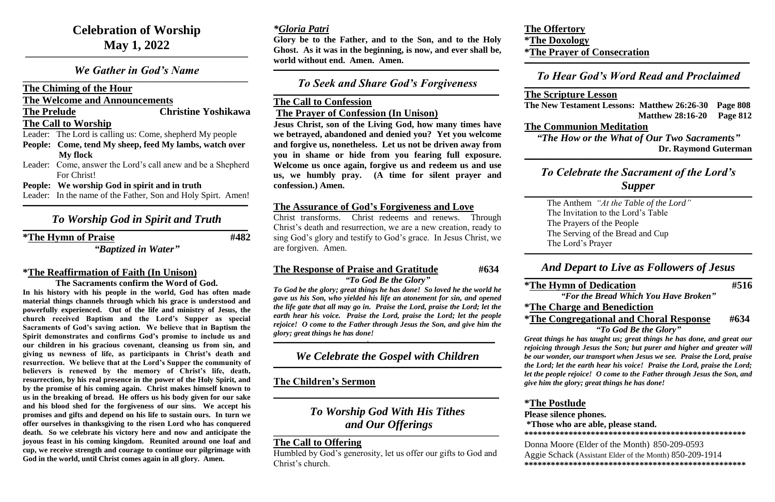# **Celebration of Worship May 1, 2022**

#### *We Gather in God's Name*  $\mathcal{L}_\mathcal{L} = \mathcal{L}_\mathcal{L} = \mathcal{L}_\mathcal{L} = \mathcal{L}_\mathcal{L} = \mathcal{L}_\mathcal{L} = \mathcal{L}_\mathcal{L} = \mathcal{L}_\mathcal{L} = \mathcal{L}_\mathcal{L} = \mathcal{L}_\mathcal{L} = \mathcal{L}_\mathcal{L} = \mathcal{L}_\mathcal{L} = \mathcal{L}_\mathcal{L} = \mathcal{L}_\mathcal{L} = \mathcal{L}_\mathcal{L} = \mathcal{L}_\mathcal{L} = \mathcal{L}_\mathcal{L} = \mathcal{L}_\mathcal{L}$

**\_\_\_\_\_\_\_\_\_\_\_\_\_\_\_\_\_\_\_\_\_\_\_\_\_\_\_\_\_\_\_\_\_\_\_\_\_\_\_\_\_\_\_\_\_\_\_\_\_\_\_\_\_\_\_\_\_\_\_\_\_\_\_\_\_\_\_\_\_\_\_\_\_\_\_\_\_\_\_\_\_\_\_\_\_\_\_\_**

#### **The Chiming of the Hour**

**The Welcome and Announcements**

**The Prelude Christine Yoshikawa**

#### **The Call to Worship**

#### *To Worship God in Spirit and Truth*  $\mathcal{L}_\mathcal{L} = \mathcal{L}_\mathcal{L} = \mathcal{L}_\mathcal{L} = \mathcal{L}_\mathcal{L} = \mathcal{L}_\mathcal{L} = \mathcal{L}_\mathcal{L} = \mathcal{L}_\mathcal{L} = \mathcal{L}_\mathcal{L} = \mathcal{L}_\mathcal{L} = \mathcal{L}_\mathcal{L} = \mathcal{L}_\mathcal{L} = \mathcal{L}_\mathcal{L} = \mathcal{L}_\mathcal{L} = \mathcal{L}_\mathcal{L} = \mathcal{L}_\mathcal{L} = \mathcal{L}_\mathcal{L} = \mathcal{L}_\mathcal{L}$

Leader: The Lord is calling us: Come, shepherd My people

- **People: Come, tend My sheep, feed My lambs, watch over My flock**
- Leader: Come, answer the Lord's call anew and be a Shepherd For Christ!
- **People: We worship God in spirit and in truth**

Leader: In the name of the Father, Son and Holy Spirt. Amen! **\_\_\_\_\_\_\_\_\_\_\_\_\_\_\_\_\_\_\_\_\_\_\_\_\_\_\_\_\_\_\_\_\_\_\_\_\_\_\_\_\_\_\_\_\_\_\_\_\_\_\_\_\_\_\_\_\_\_\_\_\_\_\_\_\_\_\_\_\_\_\_\_\_\_\_\_\_\_\_\_\_\_\_\_\_\_\_\_\_**

**\*The Hymn of Praise #482**

#### *"Baptized in Water"*

# **\*The Reaffirmation of Faith (In Unison)**

**The Sacraments confirm the Word of God.**

#### *To Seek and Share God's Forgiveness*  $\mathcal{L}_\mathcal{L} = \mathcal{L}_\mathcal{L} = \mathcal{L}_\mathcal{L} = \mathcal{L}_\mathcal{L} = \mathcal{L}_\mathcal{L} = \mathcal{L}_\mathcal{L} = \mathcal{L}_\mathcal{L} = \mathcal{L}_\mathcal{L} = \mathcal{L}_\mathcal{L} = \mathcal{L}_\mathcal{L} = \mathcal{L}_\mathcal{L} = \mathcal{L}_\mathcal{L} = \mathcal{L}_\mathcal{L} = \mathcal{L}_\mathcal{L} = \mathcal{L}_\mathcal{L} = \mathcal{L}_\mathcal{L} = \mathcal{L}_\mathcal{L}$

**In his history with his people in the world, God has often made material things channels through which his grace is understood and powerfully experienced. Out of the life and ministry of Jesus, the church received Baptism and the Lord's Supper as special Sacraments of God's saving action. We believe that in Baptism the Spirit demonstrates and confirms God's promise to include us and our children in his gracious covenant, cleansing us from sin, and giving us newness of life, as participants in Christ's death and resurrection. We believe that at the Lord's Supper the community of believers is renewed by the memory of Christ's life, death, resurrection, by his real presence in the power of the Holy Spirit, and by the promise of his coming again. Christ makes himself known to us in the breaking of bread. He offers us his body given for our sake and his blood shed for the forgiveness of our sins. We accept his promises and gifts and depend on his life to sustain ours. In turn we offer ourselves in thanksgiving to the risen Lord who has conquered death. So we celebrate his victory here and now and anticipate the joyous feast in his coming kingdom. Reunited around one loaf and cup, we receive strength and courage to continue our pilgrimage with God in the world, until Christ comes again in all glory. Amen.**

#### *To Worship God With His Tithes and Our Offerings*  $\mathcal{L}_\mathcal{L} = \mathcal{L}_\mathcal{L} = \mathcal{L}_\mathcal{L} = \mathcal{L}_\mathcal{L} = \mathcal{L}_\mathcal{L} = \mathcal{L}_\mathcal{L} = \mathcal{L}_\mathcal{L} = \mathcal{L}_\mathcal{L} = \mathcal{L}_\mathcal{L} = \mathcal{L}_\mathcal{L} = \mathcal{L}_\mathcal{L} = \mathcal{L}_\mathcal{L} = \mathcal{L}_\mathcal{L} = \mathcal{L}_\mathcal{L} = \mathcal{L}_\mathcal{L} = \mathcal{L}_\mathcal{L} = \mathcal{L}_\mathcal{L}$

#### *To Hear God's Word Read and Proclaimed*  $\mathcal{L}_\mathcal{L} = \mathcal{L}_\mathcal{L} = \mathcal{L}_\mathcal{L} = \mathcal{L}_\mathcal{L} = \mathcal{L}_\mathcal{L} = \mathcal{L}_\mathcal{L} = \mathcal{L}_\mathcal{L} = \mathcal{L}_\mathcal{L} = \mathcal{L}_\mathcal{L} = \mathcal{L}_\mathcal{L} = \mathcal{L}_\mathcal{L} = \mathcal{L}_\mathcal{L} = \mathcal{L}_\mathcal{L} = \mathcal{L}_\mathcal{L} = \mathcal{L}_\mathcal{L} = \mathcal{L}_\mathcal{L} = \mathcal{L}_\mathcal{L}$

### *\*Gloria Patri*

**Glory be to the Father, and to the Son, and to the Holy Ghost. As it was in the beginning, is now, and ever shall be, world without end. Amen. Amen.**

**\_\_\_\_\_\_\_\_\_\_\_\_\_\_\_\_\_\_\_\_\_\_\_\_\_\_\_\_\_\_\_\_\_\_\_\_\_\_\_\_\_\_\_\_\_\_\_\_\_\_\_\_\_\_\_\_\_\_\_\_\_\_\_\_\_\_\_\_\_\_\_\_\_\_\_\_\_\_\_\_\_\_\_\_\_\_\_\_\_**

#### **The Call to Confession The Prayer of Confession (In Unison)**

**Jesus Christ, son of the Living God, how many times have we betrayed, abandoned and denied you? Yet you welcome and forgive us, nonetheless. Let us not be driven away from you in shame or hide from you fearing full exposure. Welcome us once again, forgive us and redeem us and use us, we humbly pray. (A time for silent prayer and confession.) Amen.**

#### **The Assurance of God's Forgiveness and Love**

Christ transforms. Christ redeems and renews. Through Christ's death and resurrection, we are a new creation, ready to sing God's glory and testify to God's grace. In Jesus Christ, we are forgiven. Amen.

## **The Response of Praise and Gratitude #634**

*"To God Be the Glory"*

*To God be the glory; great things he has done! So loved he the world he gave us his Son, who yielded his life an atonement for sin, and opened the life gate that all may go in. Praise the Lord, praise the Lord; let the earth hear his voice. Praise the Lord, praise the Lord; let the people rejoice! O come to the Father through Jesus the Son, and give him the glory; great things he has done!*

**\_\_\_\_\_\_\_\_\_\_\_\_\_\_\_\_\_\_\_\_\_\_\_\_\_\_\_\_\_\_\_\_\_\_\_\_\_,\_\_\_\_\_\_\_\_\_\_\_\_\_\_\_\_\_\_\_\_\_\_\_\_\_\_\_\_\_\_\_\_\_\_\_\_\_\_\_\_\_\_\_\_\_\_\_\_\_\_**

#### *We Celebrate the Gospel with Children* **\_\_\_\_\_\_\_\_\_\_\_\_\_\_\_\_\_\_\_\_\_\_\_\_\_\_\_\_\_\_\_\_\_\_\_\_\_\_\_\_\_\_\_\_\_\_\_\_\_\_\_\_\_\_\_\_\_\_\_\_\_\_\_\_\_\_\_\_\_\_\_\_\_\_\_\_\_\_\_\_\_\_\_\_\_\_\_\_\_\_**

#### **The Children's Sermon**

**\_\_\_\_\_\_\_\_\_\_\_\_\_\_\_\_\_\_\_\_\_\_\_\_\_\_\_\_\_\_\_\_\_\_\_\_\_\_\_\_\_\_\_\_\_\_\_\_\_\_\_\_\_\_\_\_\_\_\_\_\_\_\_\_\_\_\_\_\_\_\_\_\_\_\_\_\_\_\_\_\_\_\_\_\_\_\_\_\_**

### **The Call to Offering**

Humbled by God's generosity, let us offer our gifts to God and Christ's church.

# **The Offertory \*The Doxology**

**\_\_\_\_\_\_\_\_\_\_\_\_\_\_\_\_\_\_\_\_\_\_\_\_\_\_\_\_\_\_\_\_\_\_\_\_\_\_\_\_\_\_\_\_\_\_\_\_\_\_\_\_\_\_\_\_\_\_\_\_\_\_\_\_\_\_\_\_\_\_\_\_\_\_\_\_\_\_\_\_\_\_\_\_\_\_\_\_\_**

**The Scripture Lesson**

**The New Testament Lessons: Matthew 26:26-30 Page 808 Matthew 28:16-20 Page 812**

# **The Communion Meditation**

*"The How or the What of Our Two Sacraments"*  **Dr. Raymond Guterman \_\_\_\_\_\_\_\_\_\_\_\_\_\_\_\_\_\_\_\_\_\_\_\_\_\_\_\_\_\_\_\_\_\_\_\_\_\_\_\_\_\_\_\_\_\_\_\_\_\_\_\_\_\_\_\_\_\_\_\_\_\_\_\_\_\_\_\_\_\_\_\_\_\_\_\_\_\_\_\_\_\_\_\_\_\_\_\_\_\_**

#### *To Celebrate the Sacrament of the Lord's Supper* **\_\_\_\_\_\_\_\_\_\_\_\_\_\_\_\_\_\_\_\_\_\_\_\_\_\_\_\_\_\_\_\_\_\_\_\_\_\_\_\_\_\_\_\_\_\_\_\_\_\_\_\_\_\_\_\_\_\_\_\_\_\_\_\_\_\_\_\_\_\_\_\_\_\_\_\_\_\_\_\_\_\_\_\_\_\_\_\_\_\_**

The Anthem *"At the Table of the Lord"* The Invitation to the Lord's Table The Prayers of the People The Serving of the Bread and Cup The Lord's Prayer

**\_\_\_\_\_\_\_\_\_\_\_\_\_\_\_\_\_\_\_\_\_\_\_\_\_\_\_\_\_\_\_\_\_\_\_\_\_\_\_\_\_\_\_\_\_\_\_\_\_\_\_\_\_\_\_\_\_\_\_\_\_\_\_\_\_\_\_\_\_\_\_\_\_\_\_\_\_\_\_\_\_\_\_\_\_\_\_\_\_\_**

#### *And Depart to Live as Followers of Jesus* **\_\_\_\_\_\_\_\_\_\_\_\_\_\_\_\_\_\_\_\_\_\_\_\_\_\_\_\_\_\_\_\_\_\_\_\_\_\_\_\_\_\_\_\_\_\_\_\_\_\_\_\_\_\_\_\_\_\_\_\_\_\_\_\_\_\_\_\_\_\_\_\_\_\_\_\_\_\_\_\_\_\_\_\_\_\_\_\_\_\_**

**\*The Hymn of Dedication #516** *"For the Bread Which You Have Broken"* **\*The Charge and Benediction \*The Congregational and Choral Response #634**

*"To God Be the Glory"*

*Great things he has taught us; great things he has done, and great our rejoicing through Jesus the Son; but purer and higher and greater will be our wonder, our transport when Jesus we see. Praise the Lord, praise the Lord; let the earth hear his voice! Praise the Lord, praise the Lord; let the people rejoice! O come to the Father through Jesus the Son, and give him the glory; great things he has done!*

#### **\*The Postlude Please silence phones. \*Those who are able, please stand.**

**\*\*\*\*\*\*\*\*\*\*\*\*\*\*\*\*\*\*\*\*\*\*\*\*\*\*\*\*\*\*\*\*\*\*\*\*\*\*\*\*\*\*\*\*\*\*\*\*\*\***

Donna Moore (Elder of the Month) 850-209-0593 Aggie Schack (Assistant Elder of the Month) 850-209-1914 **\*\*\*\*\*\*\*\*\*\*\*\*\*\*\*\*\*\*\*\*\*\*\*\*\*\*\*\*\*\*\*\*\*\*\*\*\*\*\*\*\*\*\*\*\*\*\*\*\*\***